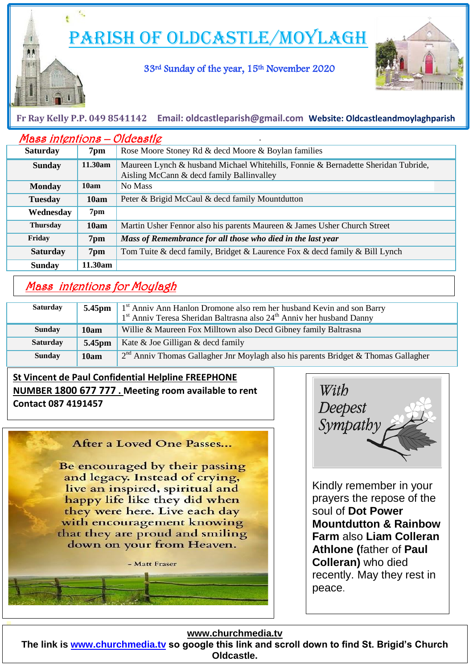Parish of Oldcastle/Moylagh

33rd Sunday of the year, 15th November 2020



## **Fr Ray Kelly P.P. 049 8541142 Email: [oldcastleparish@gmail.com](mailto:oldcastleparish@gmail.com) Website: Oldcastleandmoylaghparish**

| <b>Mass intentions - Oldcastle</b> |         |                                                                                                                                |
|------------------------------------|---------|--------------------------------------------------------------------------------------------------------------------------------|
| <b>Saturday</b>                    | 7pm     | Rose Moore Stoney Rd & decd Moore & Boylan families                                                                            |
| <b>Sunday</b>                      | 11.30am | Maureen Lynch & husband Michael Whitehills, Fonnie & Bernadette Sheridan Tubride,<br>Aisling McCann & decd family Ballinvalley |
| <b>Monday</b>                      | 10am    | No Mass                                                                                                                        |
| <b>Tuesday</b>                     | 10am    | Peter & Brigid McCaul & decd family Mountdutton                                                                                |
| Wednesday                          | 7pm     |                                                                                                                                |
| <b>Thursday</b>                    | 10am    | Martin Usher Fennor also his parents Maureen & James Usher Church Street                                                       |
| Friday                             | 7pm     | Mass of Remembrance for all those who died in the last year                                                                    |
| <b>Saturday</b>                    | 7pm     | Tom Tuite & decd family, Bridget & Laurence Fox & decd family & Bill Lynch                                                     |
| <b>Sunday</b>                      | 11.30am |                                                                                                                                |

# Mass intentions for Moylagh

l

Ļ

| <b>Saturday</b> |                    | <b>5.45pm</b>   1 <sup>st</sup> Anniv Ann Hanlon Dromone also rem her husband Kevin and son Barry<br>1 <sup>st</sup> Anniv Teresa Sheridan Baltrasna also 24 <sup>th</sup> Anniv her husband Danny |
|-----------------|--------------------|----------------------------------------------------------------------------------------------------------------------------------------------------------------------------------------------------|
| <b>Sunday</b>   | 10am               | Willie & Maureen Fox Milltown also Decd Gibney family Baltrasna                                                                                                                                    |
| <b>Saturday</b> | 5.45 <sub>pm</sub> | Kate & Joe Gilligan & decd family                                                                                                                                                                  |
| <b>Sunday</b>   | 10am               | $2nd$ Anniv Thomas Gallagher Jnr Moylagh also his parents Bridget & Thomas Gallagher                                                                                                               |

## **St Vincent de Paul Confidential Helpline FREEPHONE NUMBER 1800 677 777 . Meeting room available to rent Contact 087 4191457**

#### After a Loved One Passes...

Be encouraged by their passing and legacy. Instead of crying, live an inspired, spiritual and happy life like they did when they were here. Live each day with encouragement knowing that they are proud and smiling down on your from Heaven.





 prayers the repose of the Kindly remember in your soul of **Dot Power Mountdutton & Rainbow Farm** also **Liam Colleran Athlone (**father of **Paul Colleran)** who died recently. May they rest in peace.

#### **www.churchmedia.tv**

**The link is [www.churchmedia.tv](http://www.churchmedia.tv/) so google this link and scroll down to find St. Brigid's Church Oldcastle.**